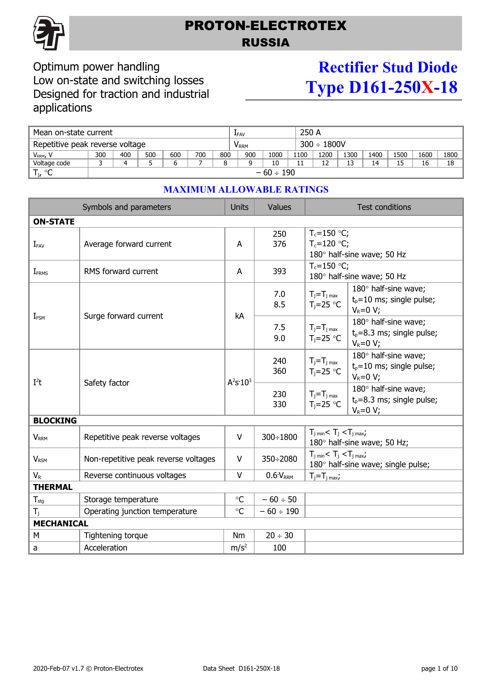

## PROTON-ELECTROTEX RUSSIA

### Optimum power handling Low on-state and switching losses Designed for traction and industrial applications

# **Rectifier Stud Diode Type D161-250X-18**

| Mean on-state current |                                 |     |     |     |     |                          | LFAV |      |      | 250 A |      |      |      |      |      |
|-----------------------|---------------------------------|-----|-----|-----|-----|--------------------------|------|------|------|-------|------|------|------|------|------|
|                       | Repetitive peak reverse voltage |     |     |     |     | $300 \div 1800V$<br>Vrrm |      |      |      |       |      |      |      |      |      |
| V <sub>RRM</sub> , V  | 300                             | 400 | 500 | 600 | 700 | 800                      | 900  | 1000 | 1100 | 1200  | 1300 | 1400 | 1500 | 1600 | 1800 |
| Voltage code          |                                 |     |     |     |     |                          |      | 10   | 11   |       |      | 14   | 15   | 16   | 18   |
| Т,<br>ം<br>֊          | $-60 \div 190$                  |     |     |     |     |                          |      |      |      |       |      |      |      |      |      |

| <b>ON-STATE</b>                                                                 |                                                                                                                      |  |  |  |  |  |  |
|---------------------------------------------------------------------------------|----------------------------------------------------------------------------------------------------------------------|--|--|--|--|--|--|
| 250<br>376<br>Average forward current<br>A<br>$I_{FAV}$                         | $T_c = 150$ °C;<br>$T_c = 120 °C$ ;<br>180° half-sine wave; 50 Hz                                                    |  |  |  |  |  |  |
| 393<br>RMS forward current<br>A<br><b>I</b> <sub>FRMS</sub>                     | $T_c = 150 °C$ ;<br>180° half-sine wave; 50 Hz                                                                       |  |  |  |  |  |  |
| 7.0<br>8.5<br>kA<br>Surge forward current                                       | 180° half-sine wave;<br>$T_i = T_{j \text{ max}}$<br>$t0=10$ ms; single pulse;<br>$T_i = 25$ °C<br>$V_R = 0 V;$      |  |  |  |  |  |  |
| $I_{FSM}$<br>7.5<br>9.0                                                         | 180° half-sine wave;<br>$T_j = T_j$ <sub>max</sub><br>$t_0 = 8.3$ ms; single pulse;<br>$T_j = 25$ °C<br>$V_R = 0 V;$ |  |  |  |  |  |  |
| 240<br>360<br>$A^2S:10^3$<br>$I^2t$                                             | 180° half-sine wave;<br>$T_j = T_j$ <sub>max</sub><br>$t_p = 10$ ms; single pulse;<br>$T_i = 25$ °C<br>$V_R = 0 V;$  |  |  |  |  |  |  |
| Safety factor<br>230<br>330                                                     | 180° half-sine wave;<br>$T_j = T_j$ <sub>max</sub><br>$t_p = 8.3$ ms; single pulse;<br>$T_i = 25$ °C<br>$V_R = 0 V;$ |  |  |  |  |  |  |
| <b>BLOCKING</b>                                                                 |                                                                                                                      |  |  |  |  |  |  |
| 300÷1800<br>V<br>Repetitive peak reverse voltages<br><b>V</b> <sub>RRM</sub>    | $T_{i,min}$ < $T_i$ < $T_{i,max}$ ;<br>180° half-sine wave; 50 Hz;                                                   |  |  |  |  |  |  |
| Non-repetitive peak reverse voltages<br>V<br>350÷2080<br><b>V<sub>RSM</sub></b> | $T_{j \text{ min}} < T_j < T_{j \text{ max}}$<br>180° half-sine wave; single pulse;                                  |  |  |  |  |  |  |
| $V_{R}$<br>Reverse continuous voltages<br>$\vee$<br>0.6V <sub>RRM</sub>         | $T_i = T_i$ <sub>max</sub> ;                                                                                         |  |  |  |  |  |  |
| <b>THERMAL</b>                                                                  |                                                                                                                      |  |  |  |  |  |  |
| $\circ$ C<br>$-60 \div 50$<br>$T_{\text{stg}}$<br>Storage temperature           |                                                                                                                      |  |  |  |  |  |  |
| Operating junction temperature<br>$\circ$ C<br>$-60 \div 190$<br>$T_i$          |                                                                                                                      |  |  |  |  |  |  |
| <b>MECHANICAL</b>                                                               |                                                                                                                      |  |  |  |  |  |  |
| $20 \div 30$<br>M<br>Nm<br>Tightening torque                                    |                                                                                                                      |  |  |  |  |  |  |
| Acceleration<br>m/s <sup>2</sup><br>100<br>a                                    |                                                                                                                      |  |  |  |  |  |  |

#### **MAXIMUM ALLOWABLE RATINGS**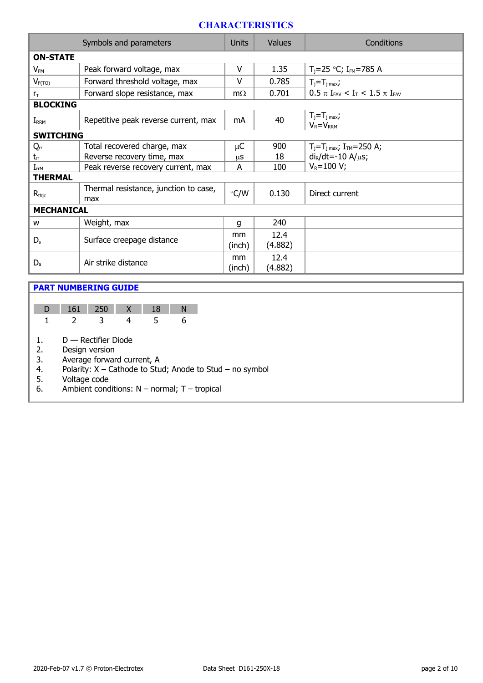#### **CHARACTERISTICS**

| Symbols and parameters |                                              |               | <b>Values</b>   | Conditions                                                               |  |  |  |  |
|------------------------|----------------------------------------------|---------------|-----------------|--------------------------------------------------------------------------|--|--|--|--|
| <b>ON-STATE</b>        |                                              |               |                 |                                                                          |  |  |  |  |
| $V_{FM}$               | Peak forward voltage, max                    | v             | 1.35            | $T_i = 25$ °C; I <sub>FM</sub> =785 A                                    |  |  |  |  |
| $V_{F(TO)}$            | Forward threshold voltage, max               | $\vee$        | 0.785           | $T_j = T_j$ max;                                                         |  |  |  |  |
| $r_{\rm T}$            | Forward slope resistance, max                | $m\Omega$     | 0.701           | $0.5 \pi$ I <sub>FAV</sub> < I <sub>T</sub> < 1.5 $\pi$ I <sub>FAV</sub> |  |  |  |  |
| <b>BLOCKING</b>        |                                              |               |                 |                                                                          |  |  |  |  |
| $I_{RRM}$              | Repetitive peak reverse current, max         | mA            | 40              | $T_j = T_j$ max,<br>$V_R = V_{RRM}$                                      |  |  |  |  |
| <b>SWITCHING</b>       |                                              |               |                 |                                                                          |  |  |  |  |
| Qrr                    | Total recovered charge, max                  | μC            | 900             | $T_j = T_j$ <sub>max</sub> ; $I_{TM} = 250$ A;                           |  |  |  |  |
| $t_{rr}$               | Reverse recovery time, max                   | μS            | 18              | $di_R/dt = -10 A/\mu s$ ;                                                |  |  |  |  |
| $I_{rrM}$              | Peak reverse recovery current, max           | A             | 100             | $V_R = 100 V;$                                                           |  |  |  |  |
| <b>THERMAL</b>         |                                              |               |                 |                                                                          |  |  |  |  |
| $R_{\text{thic}}$      | Thermal resistance, junction to case,<br>max | $\degree$ C/W | 0.130           | Direct current                                                           |  |  |  |  |
| <b>MECHANICAL</b>      |                                              |               |                 |                                                                          |  |  |  |  |
| W                      | Weight, max                                  | q             | 240             |                                                                          |  |  |  |  |
| $D_{s}$                | Surface creepage distance                    | mm<br>(inch)  | 12.4<br>(4.882) |                                                                          |  |  |  |  |
| $D_{a}$                | Air strike distance                          |               | 12.4<br>(4.882) |                                                                          |  |  |  |  |

#### **PART NUMBERING GUIDE**

|  |  | D 161 250 X 18 |  |
|--|--|----------------|--|
|  |  |                |  |

1. D — Rectifier Diode

2. Design version<br>3. Average forwar

3. Average forward current, A<br>4. Polarity:  $X -$ Cathode to Stu

4. Polarity:  $X -$  Cathode to Stud; Anode to Stud – no symbol 5. Voltage code

5. Voltage code

6. Ambient conditions:  $N -$  normal; T – tropical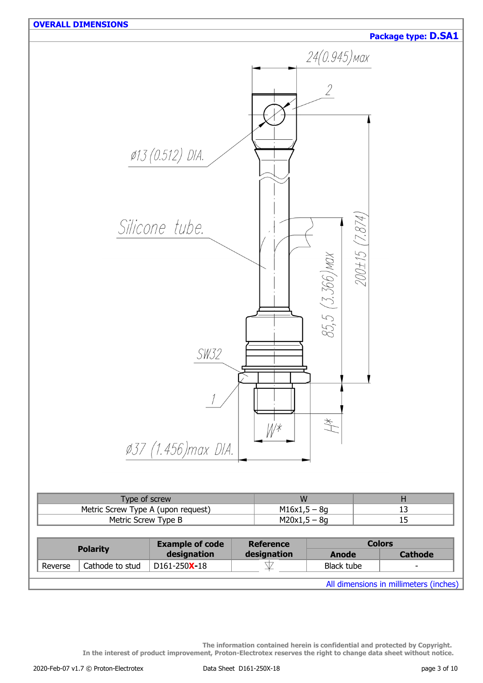

All dimensions in millimeters (inches)

**The information contained herein is confidential and protected by Copyright. In the interest of product improvement, Proton-Electrotex reserves the right to change data sheet without notice.**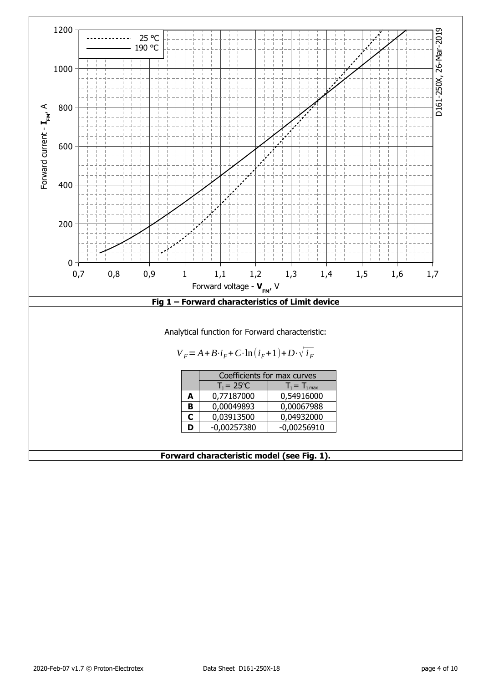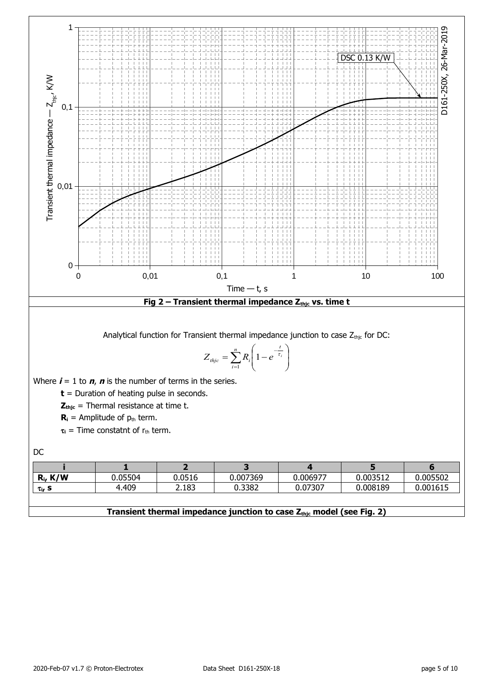

#### **Transient thermal impedance junction to case Zthjc model (see Fig. 2)**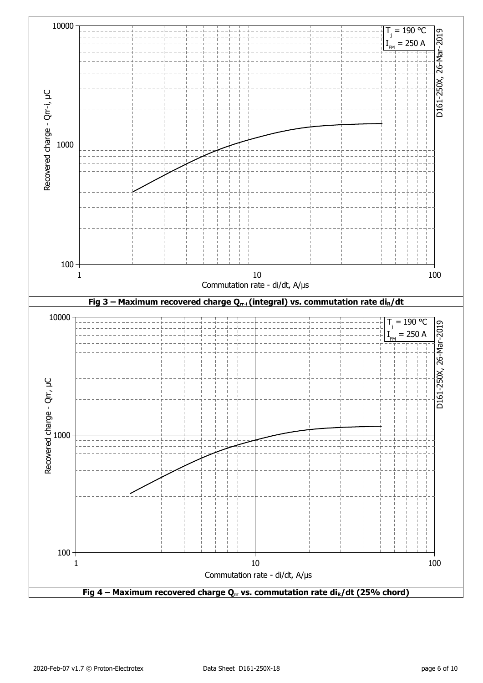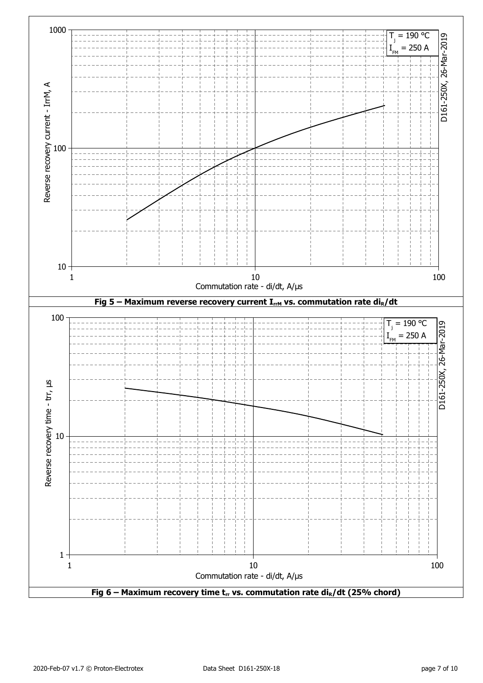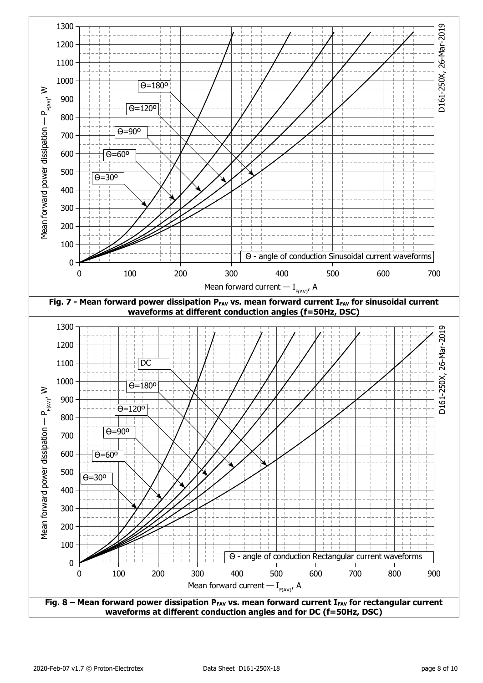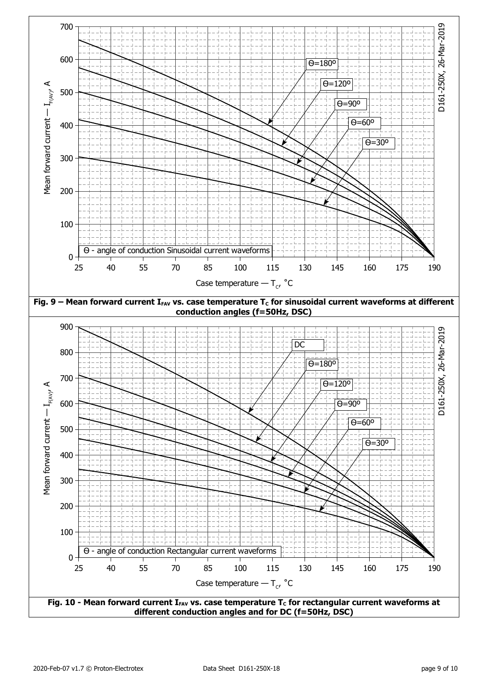